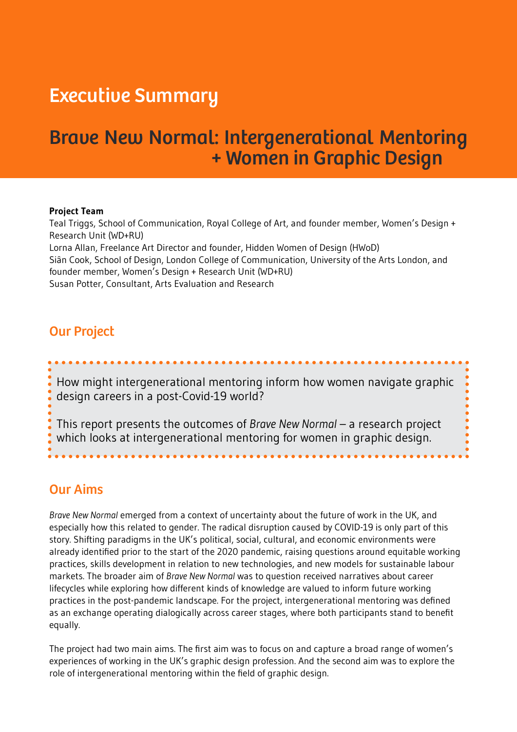# Executive Summary

# Brave New Normal: Intergenerational Mentoring + Women in Graphic Design

#### **Project Team**

Teal Triggs, School of Communication, Royal College of Art, and founder member, Women's Design + Research Unit (WD+RU) Lorna Allan, Freelance Art Director and founder, Hidden Women of Design (HWoD) Siân Cook, School of Design, London College of Communication, University of the Arts London, and founder member, Women's Design + Research Unit (WD+RU) Susan Potter, Consultant, Arts Evaluation and Research

### Our Project

How might intergenerational mentoring inform how women navigate graphic design careers in a post-Covid-19 world?

This report presents the outcomes of *Brave New Normal* – a research project which looks at intergenerational mentoring for women in graphic design.

### Our Aims

*Brave New Normal* emerged from a context of uncertainty about the future of work in the UK, and especially how this related to gender. The radical disruption caused by COVID-19 is only part of this story. Shifting paradigms in the UK's political, social, cultural, and economic environments were already identified prior to the start of the 2020 pandemic, raising questions around equitable working practices, skills development in relation to new technologies, and new models for sustainable labour markets. The broader aim of *Brave New Normal* was to question received narratives about career lifecycles while exploring how different kinds of knowledge are valued to inform future working practices in the post-pandemic landscape. For the project, intergenerational mentoring was defined as an exchange operating dialogically across career stages, where both participants stand to benefit equally.

The project had two main aims. The first aim was to focus on and capture a broad range of women's experiences of working in the UK's graphic design profession. And the second aim was to explore the role of intergenerational mentoring within the field of graphic design.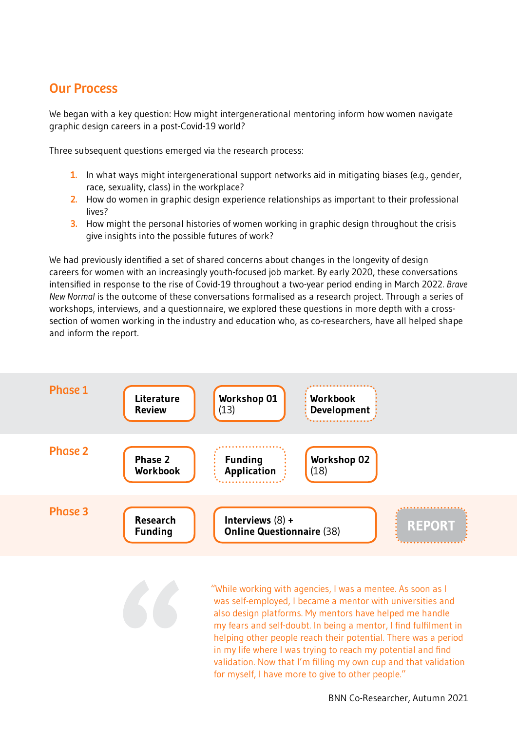## Our Process

We began with a key question: How might intergenerational mentoring inform how women navigate graphic design careers in a post-Covid-19 world?

Three subsequent questions emerged via the research process:

- **1.** In what ways might intergenerational support networks aid in mitigating biases (e.g., gender, race, sexuality, class) in the workplace?
- **2.** How do women in graphic design experience relationships as important to their professional lives?
- **3.** How might the personal histories of women working in graphic design throughout the crisis give insights into the possible futures of work?

We had previously identified a set of shared concerns about changes in the longevity of design careers for women with an increasingly youth-focused job market. By early 2020, these conversations intensified in response to the rise of Covid-19 throughout a two-year period ending in March 2022. *Brave New Normal* is the outcome of these conversations formalised as a research project. Through a series of workshops, interviews, and a questionnaire, we explored these questions in more depth with a crosssection of women working in the industry and education who, as co-researchers, have all helped shape and inform the report.



"While working with agencies, I was a mentee. As soon as I was self-employed, I became a mentor with universities and also design platforms. My mentors have helped me handle my fears and self-doubt. In being a mentor, I find fulfilment in helping other people reach their potential. There was a period in my life where I was trying to reach my potential and find validation. Now that I'm filling my own cup and that validation for myself, I have more to give to other people."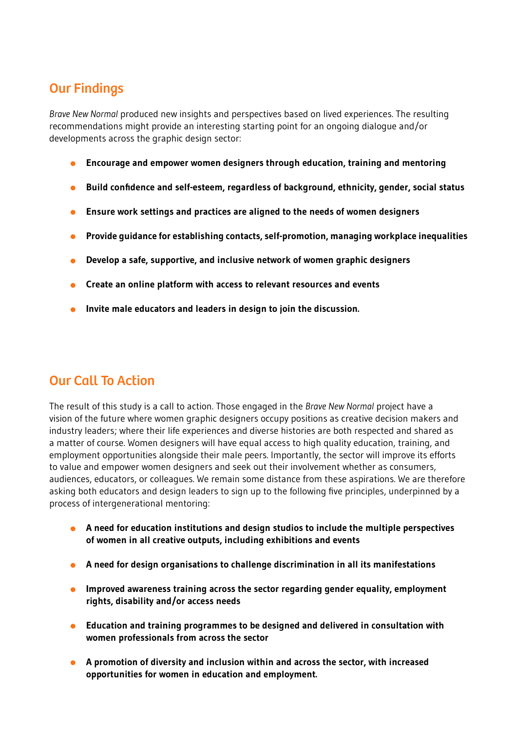## Our Findings

*Brave New Normal* produced new insights and perspectives based on lived experiences. The resulting recommendations might provide an interesting starting point for an ongoing dialogue and/or developments across the graphic design sector:

- **Encourage and empower women designers through education, training and mentoring**   $\bullet$
- **Build confidence and self-esteem, regardless of background, ethnicity, gender, social status**
- **Ensure work settings and practices are aligned to the needs of women designers**
- **Provide guidance for establishing contacts, self-promotion, managing workplace inequalities**
- **Develop a safe, supportive, and inclusive network of women graphic designers**
- **Create an online platform with access to relevant resources and events**
- **Invite male educators and leaders in design to join the discussion.**

## Our Call To Action

The result of this study is a call to action. Those engaged in the *Brave New Normal* project have a vision of the future where women graphic designers occupy positions as creative decision makers and industry leaders; where their life experiences and diverse histories are both respected and shared as a matter of course. Women designers will have equal access to high quality education, training, and employment opportunities alongside their male peers. Importantly, the sector will improve its efforts to value and empower women designers and seek out their involvement whether as consumers, audiences, educators, or colleagues. We remain some distance from these aspirations. We are therefore asking both educators and design leaders to sign up to the following five principles, underpinned by a process of intergenerational mentoring:

- **A need for education institutions and design studios to include the multiple perspectives of women in all creative outputs, including exhibitions and events**
- **A need for design organisations to challenge discrimination in all its manifestations**
- **Improved awareness training across the sector regarding gender equality, employment rights, disability and/or access needs**
- **Education and training programmes to be designed and delivered in consultation with women professionals from across the sector**
- **A promotion of diversity and inclusion within and across the sector, with increased opportunities for women in education and employment.**